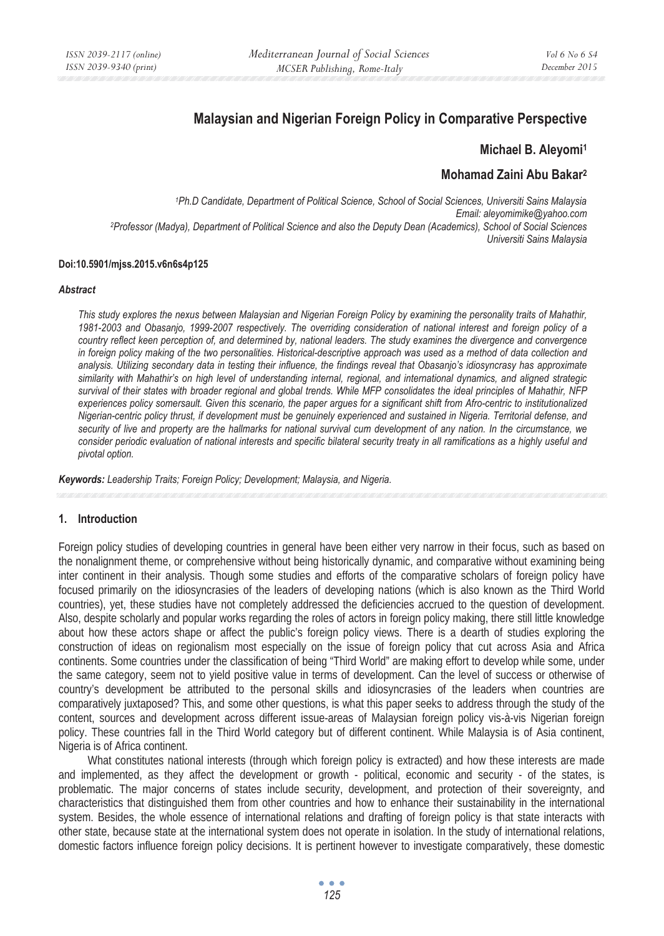# **Malaysian and Nigerian Foreign Policy in Comparative Perspective**

### **Michael B. Aleyomi1**

# **Mohamad Zaini Abu Bakar2**

*1Ph.D Candidate, Department of Political Science, School of Social Sciences, Universiti Sains Malaysia Email: aleyomimike@yahoo.com 2Professor (Madya), Department of Political Science and also the Deputy Dean (Academics), School of Social Sciences Universiti Sains Malaysia* 

#### **Doi:10.5901/mjss.2015.v6n6s4p125**

#### *Abstract*

*This study explores the nexus between Malaysian and Nigerian Foreign Policy by examining the personality traits of Mahathir, 1981-2003 and Obasanjo, 1999-2007 respectively. The overriding consideration of national interest and foreign policy of a country reflect keen perception of, and determined by, national leaders. The study examines the divergence and convergence in foreign policy making of the two personalities. Historical-descriptive approach was used as a method of data collection and analysis. Utilizing secondary data in testing their influence, the findings reveal that Obasanjo's idiosyncrasy has approximate similarity with Mahathir's on high level of understanding internal, regional, and international dynamics, and aligned strategic survival of their states with broader regional and global trends. While MFP consolidates the ideal principles of Mahathir, NFP experiences policy somersault. Given this scenario, the paper argues for a significant shift from Afro-centric to institutionalized Nigerian-centric policy thrust, if development must be genuinely experienced and sustained in Nigeria. Territorial defense, and security of live and property are the hallmarks for national survival cum development of any nation. In the circumstance, we consider periodic evaluation of national interests and specific bilateral security treaty in all ramifications as a highly useful and pivotal option.* 

*Keywords: Leadership Traits; Foreign Policy; Development; Malaysia, and Nigeria.*

# **1. Introduction**

Foreign policy studies of developing countries in general have been either very narrow in their focus, such as based on the nonalignment theme, or comprehensive without being historically dynamic, and comparative without examining being inter continent in their analysis. Though some studies and efforts of the comparative scholars of foreign policy have focused primarily on the idiosyncrasies of the leaders of developing nations (which is also known as the Third World countries), yet, these studies have not completely addressed the deficiencies accrued to the question of development. Also, despite scholarly and popular works regarding the roles of actors in foreign policy making, there still little knowledge about how these actors shape or affect the public's foreign policy views. There is a dearth of studies exploring the construction of ideas on regionalism most especially on the issue of foreign policy that cut across Asia and Africa continents. Some countries under the classification of being "Third World" are making effort to develop while some, under the same category, seem not to yield positive value in terms of development. Can the level of success or otherwise of country's development be attributed to the personal skills and idiosyncrasies of the leaders when countries are comparatively juxtaposed? This, and some other questions, is what this paper seeks to address through the study of the content, sources and development across different issue-areas of Malaysian foreign policy vis-à-vis Nigerian foreign policy. These countries fall in the Third World category but of different continent. While Malaysia is of Asia continent, Nigeria is of Africa continent.

What constitutes national interests (through which foreign policy is extracted) and how these interests are made and implemented, as they affect the development or growth - political, economic and security - of the states, is problematic. The major concerns of states include security, development, and protection of their sovereignty, and characteristics that distinguished them from other countries and how to enhance their sustainability in the international system. Besides, the whole essence of international relations and drafting of foreign policy is that state interacts with other state, because state at the international system does not operate in isolation. In the study of international relations, domestic factors influence foreign policy decisions. It is pertinent however to investigate comparatively, these domestic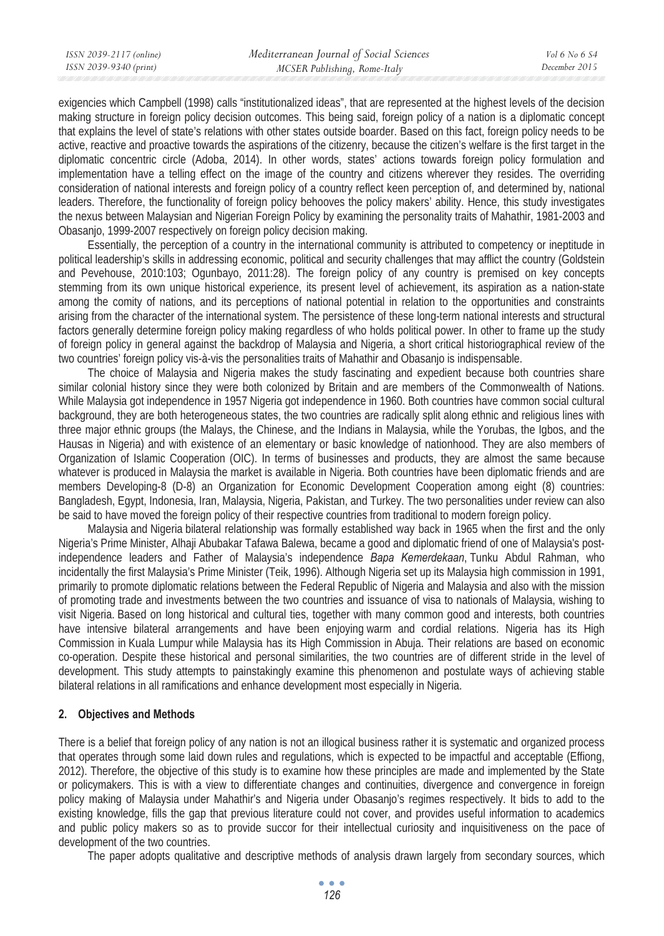exigencies which Campbell (1998) calls "institutionalized ideas", that are represented at the highest levels of the decision making structure in foreign policy decision outcomes. This being said, foreign policy of a nation is a diplomatic concept that explains the level of state's relations with other states outside boarder. Based on this fact, foreign policy needs to be active, reactive and proactive towards the aspirations of the citizenry, because the citizen's welfare is the first target in the diplomatic concentric circle (Adoba, 2014). In other words, states' actions towards foreign policy formulation and implementation have a telling effect on the image of the country and citizens wherever they resides. The overriding consideration of national interests and foreign policy of a country reflect keen perception of, and determined by, national leaders. Therefore, the functionality of foreign policy behooves the policy makers' ability. Hence, this study investigates the nexus between Malaysian and Nigerian Foreign Policy by examining the personality traits of Mahathir, 1981-2003 and Obasanjo, 1999-2007 respectively on foreign policy decision making.

Essentially, the perception of a country in the international community is attributed to competency or ineptitude in political leadership's skills in addressing economic, political and security challenges that may afflict the country (Goldstein and Pevehouse, 2010:103; Ogunbayo, 2011:28). The foreign policy of any country is premised on key concepts stemming from its own unique historical experience, its present level of achievement, its aspiration as a nation-state among the comity of nations, and its perceptions of national potential in relation to the opportunities and constraints arising from the character of the international system. The persistence of these long-term national interests and structural factors generally determine foreign policy making regardless of who holds political power. In other to frame up the study of foreign policy in general against the backdrop of Malaysia and Nigeria, a short critical historiographical review of the two countries' foreign policy vis-à-vis the personalities traits of Mahathir and Obasanjo is indispensable.

The choice of Malaysia and Nigeria makes the study fascinating and expedient because both countries share similar colonial history since they were both colonized by Britain and are members of the Commonwealth of Nations. While Malaysia got independence in 1957 Nigeria got independence in 1960. Both countries have common social cultural background, they are both heterogeneous states, the two countries are radically split along ethnic and religious lines with three major ethnic groups (the Malays, the Chinese, and the Indians in Malaysia, while the Yorubas, the Igbos, and the Hausas in Nigeria) and with existence of an elementary or basic knowledge of nationhood. They are also members of Organization of Islamic Cooperation (OIC). In terms of businesses and products, they are almost the same because whatever is produced in Malaysia the market is available in Nigeria. Both countries have been diplomatic friends and are members Developing-8 (D-8) an Organization for Economic Development Cooperation among eight (8) countries: Bangladesh, Egypt, Indonesia, Iran, Malaysia, Nigeria, Pakistan, and Turkey. The two personalities under review can also be said to have moved the foreign policy of their respective countries from traditional to modern foreign policy.

Malaysia and Nigeria bilateral relationship was formally established way back in 1965 when the first and the only Nigeria's Prime Minister, Alhaji Abubakar Tafawa Balewa, became a good and diplomatic friend of one of Malaysia's postindependence leaders and Father of Malaysia's independence *Bapa Kemerdekaan*, Tunku Abdul Rahman, who incidentally the first Malaysia's Prime Minister (Teik, 1996). Although Nigeria set up its Malaysia high commission in 1991, primarily to promote diplomatic relations between the Federal Republic of Nigeria and Malaysia and also with the mission of promoting trade and investments between the two countries and issuance of visa to nationals of Malaysia, wishing to visit Nigeria. Based on long historical and cultural ties, together with many common good and interests, both countries have intensive bilateral arrangements and have been enjoying warm and cordial relations. Nigeria has its High Commission in Kuala Lumpur while Malaysia has its High Commission in Abuja. Their relations are based on economic co-operation. Despite these historical and personal similarities, the two countries are of different stride in the level of development. This study attempts to painstakingly examine this phenomenon and postulate ways of achieving stable bilateral relations in all ramifications and enhance development most especially in Nigeria.

#### **2. Objectives and Methods**

There is a belief that foreign policy of any nation is not an illogical business rather it is systematic and organized process that operates through some laid down rules and regulations, which is expected to be impactful and acceptable (Effiong, 2012). Therefore, the objective of this study is to examine how these principles are made and implemented by the State or policymakers. This is with a view to differentiate changes and continuities, divergence and convergence in foreign policy making of Malaysia under Mahathir's and Nigeria under Obasanjo's regimes respectively. It bids to add to the existing knowledge, fills the gap that previous literature could not cover, and provides useful information to academics and public policy makers so as to provide succor for their intellectual curiosity and inquisitiveness on the pace of development of the two countries.

The paper adopts qualitative and descriptive methods of analysis drawn largely from secondary sources, which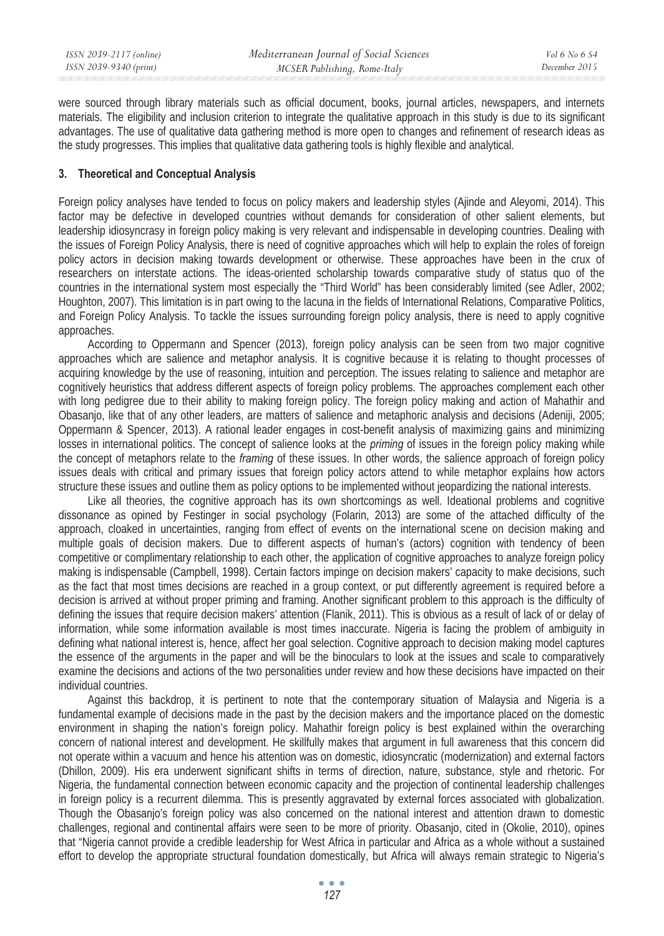were sourced through library materials such as official document, books, journal articles, newspapers, and internets materials. The eligibility and inclusion criterion to integrate the qualitative approach in this study is due to its significant advantages. The use of qualitative data gathering method is more open to changes and refinement of research ideas as the study progresses. This implies that qualitative data gathering tools is highly flexible and analytical.

### **3. Theoretical and Conceptual Analysis**

Foreign policy analyses have tended to focus on policy makers and leadership styles (Ajinde and Aleyomi, 2014). This factor may be defective in developed countries without demands for consideration of other salient elements, but leadership idiosyncrasy in foreign policy making is very relevant and indispensable in developing countries. Dealing with the issues of Foreign Policy Analysis, there is need of cognitive approaches which will help to explain the roles of foreign policy actors in decision making towards development or otherwise. These approaches have been in the crux of researchers on interstate actions. The ideas-oriented scholarship towards comparative study of status quo of the countries in the international system most especially the "Third World" has been considerably limited (see Adler, 2002; Houghton, 2007). This limitation is in part owing to the lacuna in the fields of International Relations, Comparative Politics, and Foreign Policy Analysis. To tackle the issues surrounding foreign policy analysis, there is need to apply cognitive approaches.

According to Oppermann and Spencer (2013), foreign policy analysis can be seen from two major cognitive approaches which are salience and metaphor analysis. It is cognitive because it is relating to thought processes of acquiring knowledge by the use of reasoning, intuition and perception. The issues relating to salience and metaphor are cognitively heuristics that address different aspects of foreign policy problems. The approaches complement each other with long pedigree due to their ability to making foreign policy. The foreign policy making and action of Mahathir and Obasanjo, like that of any other leaders, are matters of salience and metaphoric analysis and decisions (Adeniji, 2005; Oppermann & Spencer, 2013). A rational leader engages in cost-benefit analysis of maximizing gains and minimizing losses in international politics. The concept of salience looks at the *priming* of issues in the foreign policy making while the concept of metaphors relate to the *framing* of these issues. In other words, the salience approach of foreign policy issues deals with critical and primary issues that foreign policy actors attend to while metaphor explains how actors structure these issues and outline them as policy options to be implemented without jeopardizing the national interests.

Like all theories, the cognitive approach has its own shortcomings as well. Ideational problems and cognitive dissonance as opined by Festinger in social psychology (Folarin, 2013) are some of the attached difficulty of the approach, cloaked in uncertainties, ranging from effect of events on the international scene on decision making and multiple goals of decision makers. Due to different aspects of human's (actors) cognition with tendency of been competitive or complimentary relationship to each other, the application of cognitive approaches to analyze foreign policy making is indispensable (Campbell, 1998). Certain factors impinge on decision makers' capacity to make decisions, such as the fact that most times decisions are reached in a group context, or put differently agreement is required before a decision is arrived at without proper priming and framing. Another significant problem to this approach is the difficulty of defining the issues that require decision makers' attention (Flanik, 2011). This is obvious as a result of lack of or delay of information, while some information available is most times inaccurate. Nigeria is facing the problem of ambiguity in defining what national interest is, hence, affect her goal selection. Cognitive approach to decision making model captures the essence of the arguments in the paper and will be the binoculars to look at the issues and scale to comparatively examine the decisions and actions of the two personalities under review and how these decisions have impacted on their individual countries.

Against this backdrop, it is pertinent to note that the contemporary situation of Malaysia and Nigeria is a fundamental example of decisions made in the past by the decision makers and the importance placed on the domestic environment in shaping the nation's foreign policy. Mahathir foreign policy is best explained within the overarching concern of national interest and development. He skillfully makes that argument in full awareness that this concern did not operate within a vacuum and hence his attention was on domestic, idiosyncratic (modernization) and external factors (Dhillon, 2009). His era underwent significant shifts in terms of direction, nature, substance, style and rhetoric. For Nigeria, the fundamental connection between economic capacity and the projection of continental leadership challenges in foreign policy is a recurrent dilemma. This is presently aggravated by external forces associated with globalization. Though the Obasanjo's foreign policy was also concerned on the national interest and attention drawn to domestic challenges, regional and continental affairs were seen to be more of priority. Obasanjo, cited in (Okolie, 2010), opines that "Nigeria cannot provide a credible leadership for West Africa in particular and Africa as a whole without a sustained effort to develop the appropriate structural foundation domestically, but Africa will always remain strategic to Nigeria's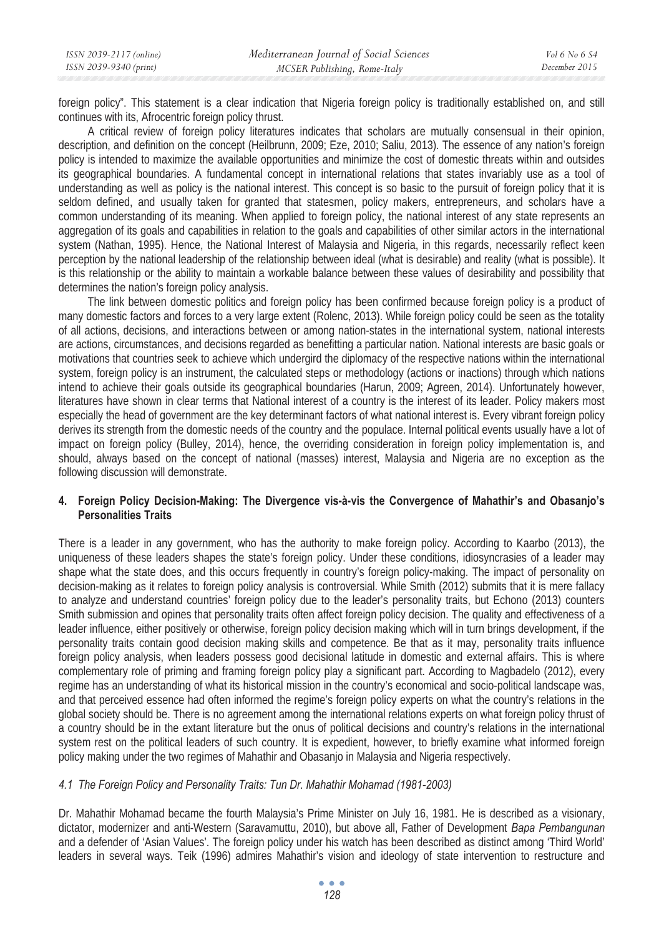*December 2015* 

foreign policy". This statement is a clear indication that Nigeria foreign policy is traditionally established on, and still continues with its, Afrocentric foreign policy thrust.

A critical review of foreign policy literatures indicates that scholars are mutually consensual in their opinion, description, and definition on the concept (Heilbrunn, 2009; Eze, 2010; Saliu, 2013). The essence of any nation's foreign policy is intended to maximize the available opportunities and minimize the cost of domestic threats within and outsides its geographical boundaries. A fundamental concept in international relations that states invariably use as a tool of understanding as well as policy is the national interest. This concept is so basic to the pursuit of foreign policy that it is seldom defined, and usually taken for granted that statesmen, policy makers, entrepreneurs, and scholars have a common understanding of its meaning. When applied to foreign policy, the national interest of any state represents an aggregation of its goals and capabilities in relation to the goals and capabilities of other similar actors in the international system (Nathan, 1995). Hence, the National Interest of Malaysia and Nigeria, in this regards, necessarily reflect keen perception by the national leadership of the relationship between ideal (what is desirable) and reality (what is possible). It is this relationship or the ability to maintain a workable balance between these values of desirability and possibility that determines the nation's foreign policy analysis.

The link between domestic politics and foreign policy has been confirmed because foreign policy is a product of many domestic factors and forces to a very large extent (Rolenc, 2013). While foreign policy could be seen as the totality of all actions, decisions, and interactions between or among nation-states in the international system, national interests are actions, circumstances, and decisions regarded as benefitting a particular nation. National interests are basic goals or motivations that countries seek to achieve which undergird the diplomacy of the respective nations within the international system, foreign policy is an instrument, the calculated steps or methodology (actions or inactions) through which nations intend to achieve their goals outside its geographical boundaries (Harun, 2009; Agreen, 2014). Unfortunately however, literatures have shown in clear terms that National interest of a country is the interest of its leader. Policy makers most especially the head of government are the key determinant factors of what national interest is. Every vibrant foreign policy derives its strength from the domestic needs of the country and the populace. Internal political events usually have a lot of impact on foreign policy (Bulley, 2014), hence, the overriding consideration in foreign policy implementation is, and should, always based on the concept of national (masses) interest, Malaysia and Nigeria are no exception as the following discussion will demonstrate.

# **4. Foreign Policy Decision-Making: The Divergence vis-à-vis the Convergence of Mahathir's and Obasanjo's Personalities Traits**

There is a leader in any government, who has the authority to make foreign policy. According to Kaarbo (2013), the uniqueness of these leaders shapes the state's foreign policy. Under these conditions, idiosyncrasies of a leader may shape what the state does, and this occurs frequently in country's foreign policy-making. The impact of personality on decision-making as it relates to foreign policy analysis is controversial. While Smith (2012) submits that it is mere fallacy to analyze and understand countries' foreign policy due to the leader's personality traits, but Echono (2013) counters Smith submission and opines that personality traits often affect foreign policy decision. The quality and effectiveness of a leader influence, either positively or otherwise, foreign policy decision making which will in turn brings development, if the personality traits contain good decision making skills and competence. Be that as it may, personality traits influence foreign policy analysis, when leaders possess good decisional latitude in domestic and external affairs. This is where complementary role of priming and framing foreign policy play a significant part. According to Magbadelo (2012), every regime has an understanding of what its historical mission in the country's economical and socio-political landscape was, and that perceived essence had often informed the regime's foreign policy experts on what the country's relations in the global society should be. There is no agreement among the international relations experts on what foreign policy thrust of a country should be in the extant literature but the onus of political decisions and country's relations in the international system rest on the political leaders of such country. It is expedient, however, to briefly examine what informed foreign policy making under the two regimes of Mahathir and Obasanjo in Malaysia and Nigeria respectively.

# *4.1 The Foreign Policy and Personality Traits: Tun Dr. Mahathir Mohamad (1981-2003)*

Dr. Mahathir Mohamad became the fourth Malaysia's Prime Minister on July 16, 1981. He is described as a visionary, dictator, modernizer and anti-Western (Saravamuttu, 2010), but above all, Father of Development *Bapa Pembangunan* and a defender of 'Asian Values'. The foreign policy under his watch has been described as distinct among 'Third World' leaders in several ways. Teik (1996) admires Mahathir's vision and ideology of state intervention to restructure and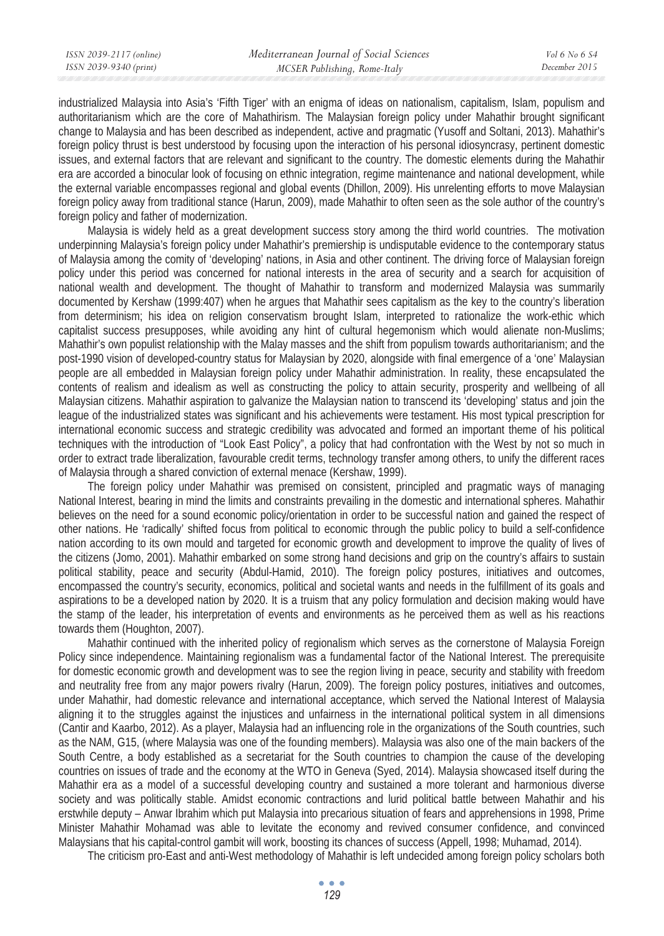industrialized Malaysia into Asia's 'Fifth Tiger' with an enigma of ideas on nationalism, capitalism, Islam, populism and authoritarianism which are the core of Mahathirism. The Malaysian foreign policy under Mahathir brought significant change to Malaysia and has been described as independent, active and pragmatic (Yusoff and Soltani, 2013). Mahathir's foreign policy thrust is best understood by focusing upon the interaction of his personal idiosyncrasy, pertinent domestic issues, and external factors that are relevant and significant to the country. The domestic elements during the Mahathir era are accorded a binocular look of focusing on ethnic integration, regime maintenance and national development, while the external variable encompasses regional and global events (Dhillon, 2009). His unrelenting efforts to move Malaysian foreign policy away from traditional stance (Harun, 2009), made Mahathir to often seen as the sole author of the country's foreign policy and father of modernization.

Malaysia is widely held as a great development success story among the third world countries. The motivation underpinning Malaysia's foreign policy under Mahathir's premiership is undisputable evidence to the contemporary status of Malaysia among the comity of 'developing' nations, in Asia and other continent. The driving force of Malaysian foreign policy under this period was concerned for national interests in the area of security and a search for acquisition of national wealth and development. The thought of Mahathir to transform and modernized Malaysia was summarily documented by Kershaw (1999:407) when he argues that Mahathir sees capitalism as the key to the country's liberation from determinism; his idea on religion conservatism brought Islam, interpreted to rationalize the work-ethic which capitalist success presupposes, while avoiding any hint of cultural hegemonism which would alienate non-Muslims; Mahathir's own populist relationship with the Malay masses and the shift from populism towards authoritarianism; and the post-1990 vision of developed-country status for Malaysian by 2020, alongside with final emergence of a 'one' Malaysian people are all embedded in Malaysian foreign policy under Mahathir administration. In reality, these encapsulated the contents of realism and idealism as well as constructing the policy to attain security, prosperity and wellbeing of all Malaysian citizens. Mahathir aspiration to galvanize the Malaysian nation to transcend its 'developing' status and join the league of the industrialized states was significant and his achievements were testament. His most typical prescription for international economic success and strategic credibility was advocated and formed an important theme of his political techniques with the introduction of "Look East Policy", a policy that had confrontation with the West by not so much in order to extract trade liberalization, favourable credit terms, technology transfer among others, to unify the different races of Malaysia through a shared conviction of external menace (Kershaw, 1999).

The foreign policy under Mahathir was premised on consistent, principled and pragmatic ways of managing National Interest, bearing in mind the limits and constraints prevailing in the domestic and international spheres. Mahathir believes on the need for a sound economic policy/orientation in order to be successful nation and gained the respect of other nations. He 'radically' shifted focus from political to economic through the public policy to build a self-confidence nation according to its own mould and targeted for economic growth and development to improve the quality of lives of the citizens (Jomo, 2001). Mahathir embarked on some strong hand decisions and grip on the country's affairs to sustain political stability, peace and security (Abdul-Hamid, 2010). The foreign policy postures, initiatives and outcomes, encompassed the country's security, economics, political and societal wants and needs in the fulfillment of its goals and aspirations to be a developed nation by 2020. It is a truism that any policy formulation and decision making would have the stamp of the leader, his interpretation of events and environments as he perceived them as well as his reactions towards them (Houghton, 2007).

Mahathir continued with the inherited policy of regionalism which serves as the cornerstone of Malaysia Foreign Policy since independence. Maintaining regionalism was a fundamental factor of the National Interest. The prerequisite for domestic economic growth and development was to see the region living in peace, security and stability with freedom and neutrality free from any major powers rivalry (Harun, 2009). The foreign policy postures, initiatives and outcomes, under Mahathir, had domestic relevance and international acceptance, which served the National Interest of Malaysia aligning it to the struggles against the injustices and unfairness in the international political system in all dimensions (Cantir and Kaarbo, 2012). As a player, Malaysia had an influencing role in the organizations of the South countries, such as the NAM, G15, (where Malaysia was one of the founding members). Malaysia was also one of the main backers of the South Centre, a body established as a secretariat for the South countries to champion the cause of the developing countries on issues of trade and the economy at the WTO in Geneva (Syed, 2014). Malaysia showcased itself during the Mahathir era as a model of a successful developing country and sustained a more tolerant and harmonious diverse society and was politically stable. Amidst economic contractions and lurid political battle between Mahathir and his erstwhile deputy – Anwar Ibrahim which put Malaysia into precarious situation of fears and apprehensions in 1998, Prime Minister Mahathir Mohamad was able to levitate the economy and revived consumer confidence, and convinced Malaysians that his capital-control gambit will work, boosting its chances of success (Appell, 1998; Muhamad, 2014).

The criticism pro-East and anti-West methodology of Mahathir is left undecided among foreign policy scholars both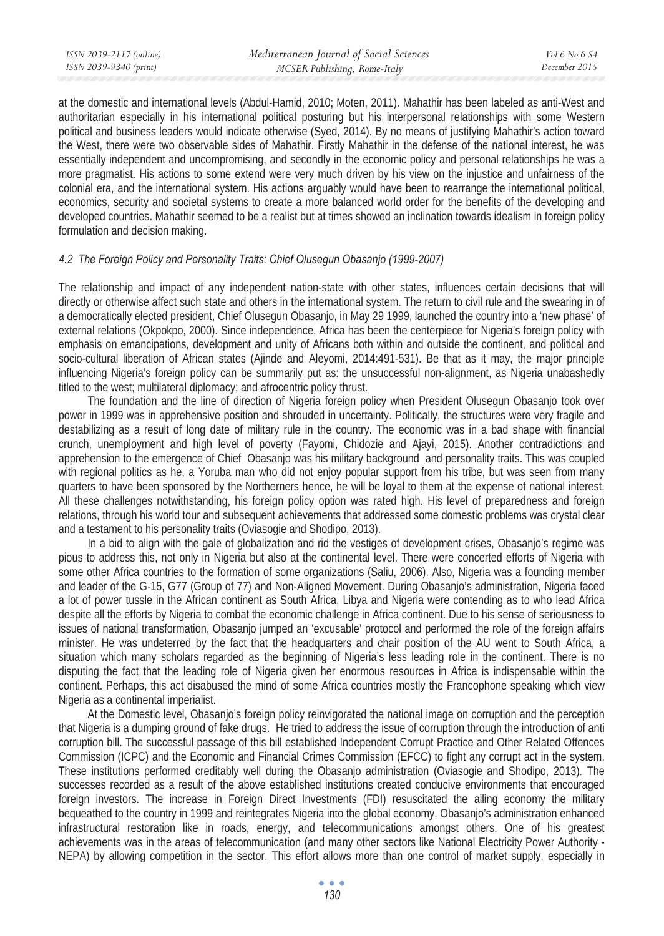at the domestic and international levels (Abdul-Hamid, 2010; Moten, 2011). Mahathir has been labeled as anti-West and authoritarian especially in his international political posturing but his interpersonal relationships with some Western political and business leaders would indicate otherwise (Syed, 2014). By no means of justifying Mahathir's action toward the West, there were two observable sides of Mahathir. Firstly Mahathir in the defense of the national interest, he was essentially independent and uncompromising, and secondly in the economic policy and personal relationships he was a more pragmatist. His actions to some extend were very much driven by his view on the injustice and unfairness of the colonial era, and the international system. His actions arguably would have been to rearrange the international political, economics, security and societal systems to create a more balanced world order for the benefits of the developing and developed countries. Mahathir seemed to be a realist but at times showed an inclination towards idealism in foreign policy formulation and decision making.

### *4.2 The Foreign Policy and Personality Traits: Chief Olusegun Obasanjo (1999-2007)*

The relationship and impact of any independent nation-state with other states, influences certain decisions that will directly or otherwise affect such state and others in the international system. The return to civil rule and the swearing in of a democratically elected president, Chief Olusegun Obasanjo, in May 29 1999, launched the country into a 'new phase' of external relations (Okpokpo, 2000). Since independence, Africa has been the centerpiece for Nigeria's foreign policy with emphasis on emancipations, development and unity of Africans both within and outside the continent, and political and socio-cultural liberation of African states (Ajinde and Aleyomi, 2014:491-531). Be that as it may, the major principle influencing Nigeria's foreign policy can be summarily put as: the unsuccessful non-alignment, as Nigeria unabashedly titled to the west; multilateral diplomacy; and afrocentric policy thrust.

The foundation and the line of direction of Nigeria foreign policy when President Olusegun Obasanjo took over power in 1999 was in apprehensive position and shrouded in uncertainty. Politically, the structures were very fragile and destabilizing as a result of long date of military rule in the country. The economic was in a bad shape with financial crunch, unemployment and high level of poverty (Fayomi, Chidozie and Ajayi, 2015). Another contradictions and apprehension to the emergence of Chief Obasanjo was his military background and personality traits. This was coupled with regional politics as he, a Yoruba man who did not enjoy popular support from his tribe, but was seen from many quarters to have been sponsored by the Northerners hence, he will be loyal to them at the expense of national interest. All these challenges notwithstanding, his foreign policy option was rated high. His level of preparedness and foreign relations, through his world tour and subsequent achievements that addressed some domestic problems was crystal clear and a testament to his personality traits (Oviasogie and Shodipo, 2013).

In a bid to align with the gale of globalization and rid the vestiges of development crises, Obasanjo's regime was pious to address this, not only in Nigeria but also at the continental level. There were concerted efforts of Nigeria with some other Africa countries to the formation of some organizations (Saliu, 2006). Also, Nigeria was a founding member and leader of the G-15, G77 (Group of 77) and Non-Aligned Movement. During Obasanjo's administration, Nigeria faced a lot of power tussle in the African continent as South Africa, Libya and Nigeria were contending as to who lead Africa despite all the efforts by Nigeria to combat the economic challenge in Africa continent. Due to his sense of seriousness to issues of national transformation, Obasanjo jumped an 'excusable' protocol and performed the role of the foreign affairs minister. He was undeterred by the fact that the headquarters and chair position of the AU went to South Africa, a situation which many scholars regarded as the beginning of Nigeria's less leading role in the continent. There is no disputing the fact that the leading role of Nigeria given her enormous resources in Africa is indispensable within the continent. Perhaps, this act disabused the mind of some Africa countries mostly the Francophone speaking which view Nigeria as a continental imperialist.

At the Domestic level, Obasanjo's foreign policy reinvigorated the national image on corruption and the perception that Nigeria is a dumping ground of fake drugs. He tried to address the issue of corruption through the introduction of anti corruption bill. The successful passage of this bill established Independent Corrupt Practice and Other Related Offences Commission (ICPC) and the Economic and Financial Crimes Commission (EFCC) to fight any corrupt act in the system. These institutions performed creditably well during the Obasanjo administration (Oviasogie and Shodipo, 2013). The successes recorded as a result of the above established institutions created conducive environments that encouraged foreign investors. The increase in Foreign Direct Investments (FDI) resuscitated the ailing economy the military bequeathed to the country in 1999 and reintegrates Nigeria into the global economy. Obasanjo's administration enhanced infrastructural restoration like in roads, energy, and telecommunications amongst others. One of his greatest achievements was in the areas of telecommunication (and many other sectors like National Electricity Power Authority - NEPA) by allowing competition in the sector. This effort allows more than one control of market supply, especially in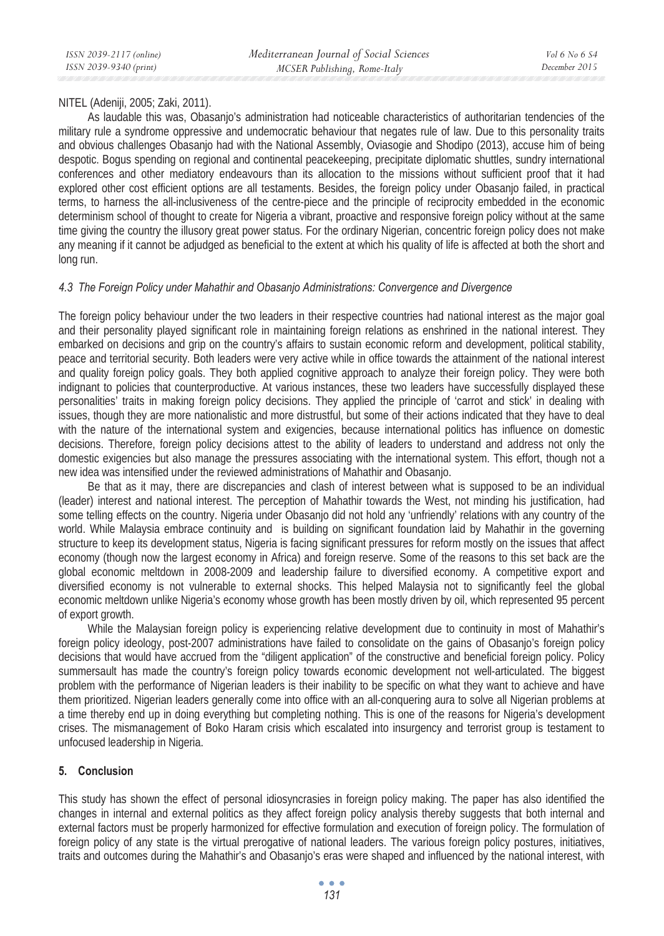### NITEL (Adeniji, 2005; Zaki, 2011).

As laudable this was, Obasanjo's administration had noticeable characteristics of authoritarian tendencies of the military rule a syndrome oppressive and undemocratic behaviour that negates rule of law. Due to this personality traits and obvious challenges Obasanjo had with the National Assembly, Oviasogie and Shodipo (2013), accuse him of being despotic. Bogus spending on regional and continental peacekeeping, precipitate diplomatic shuttles, sundry international conferences and other mediatory endeavours than its allocation to the missions without sufficient proof that it had explored other cost efficient options are all testaments. Besides, the foreign policy under Obasanjo failed, in practical terms, to harness the all-inclusiveness of the centre-piece and the principle of reciprocity embedded in the economic determinism school of thought to create for Nigeria a vibrant, proactive and responsive foreign policy without at the same time giving the country the illusory great power status. For the ordinary Nigerian, concentric foreign policy does not make any meaning if it cannot be adjudged as beneficial to the extent at which his quality of life is affected at both the short and long run.

### *4.3 The Foreign Policy under Mahathir and Obasanjo Administrations: Convergence and Divergence*

The foreign policy behaviour under the two leaders in their respective countries had national interest as the major goal and their personality played significant role in maintaining foreign relations as enshrined in the national interest. They embarked on decisions and grip on the country's affairs to sustain economic reform and development, political stability, peace and territorial security. Both leaders were very active while in office towards the attainment of the national interest and quality foreign policy goals. They both applied cognitive approach to analyze their foreign policy. They were both indignant to policies that counterproductive. At various instances, these two leaders have successfully displayed these personalities' traits in making foreign policy decisions. They applied the principle of 'carrot and stick' in dealing with issues, though they are more nationalistic and more distrustful, but some of their actions indicated that they have to deal with the nature of the international system and exigencies, because international politics has influence on domestic decisions. Therefore, foreign policy decisions attest to the ability of leaders to understand and address not only the domestic exigencies but also manage the pressures associating with the international system. This effort, though not a new idea was intensified under the reviewed administrations of Mahathir and Obasanjo.

Be that as it may, there are discrepancies and clash of interest between what is supposed to be an individual (leader) interest and national interest. The perception of Mahathir towards the West, not minding his justification, had some telling effects on the country. Nigeria under Obasanjo did not hold any 'unfriendly' relations with any country of the world. While Malaysia embrace continuity and is building on significant foundation laid by Mahathir in the governing structure to keep its development status, Nigeria is facing significant pressures for reform mostly on the issues that affect economy (though now the largest economy in Africa) and foreign reserve. Some of the reasons to this set back are the global economic meltdown in 2008-2009 and leadership failure to diversified economy. A competitive export and diversified economy is not vulnerable to external shocks. This helped Malaysia not to significantly feel the global economic meltdown unlike Nigeria's economy whose growth has been mostly driven by oil, which represented 95 percent of export growth.

While the Malaysian foreign policy is experiencing relative development due to continuity in most of Mahathir's foreign policy ideology, post-2007 administrations have failed to consolidate on the gains of Obasanjo's foreign policy decisions that would have accrued from the "diligent application" of the constructive and beneficial foreign policy. Policy summersault has made the country's foreign policy towards economic development not well-articulated. The biggest problem with the performance of Nigerian leaders is their inability to be specific on what they want to achieve and have them prioritized. Nigerian leaders generally come into office with an all-conquering aura to solve all Nigerian problems at a time thereby end up in doing everything but completing nothing. This is one of the reasons for Nigeria's development crises. The mismanagement of Boko Haram crisis which escalated into insurgency and terrorist group is testament to unfocused leadership in Nigeria.

# **5. Conclusion**

This study has shown the effect of personal idiosyncrasies in foreign policy making. The paper has also identified the changes in internal and external politics as they affect foreign policy analysis thereby suggests that both internal and external factors must be properly harmonized for effective formulation and execution of foreign policy. The formulation of foreign policy of any state is the virtual prerogative of national leaders. The various foreign policy postures, initiatives, traits and outcomes during the Mahathir's and Obasanjo's eras were shaped and influenced by the national interest, with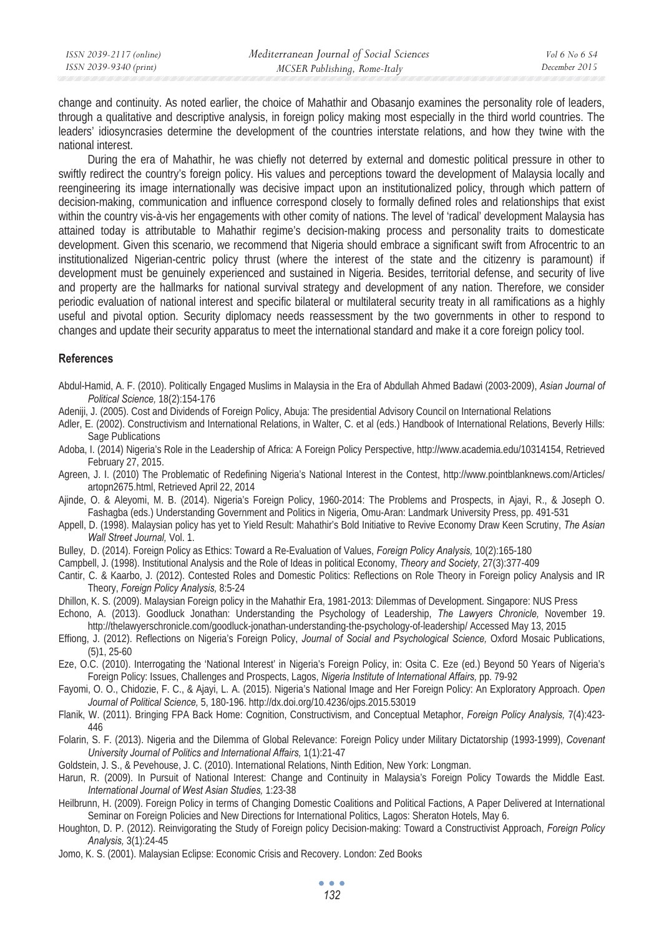*December 2015* 

change and continuity. As noted earlier, the choice of Mahathir and Obasanjo examines the personality role of leaders, through a qualitative and descriptive analysis, in foreign policy making most especially in the third world countries. The leaders' idiosyncrasies determine the development of the countries interstate relations, and how they twine with the national interest.

During the era of Mahathir, he was chiefly not deterred by external and domestic political pressure in other to swiftly redirect the country's foreign policy. His values and perceptions toward the development of Malaysia locally and reengineering its image internationally was decisive impact upon an institutionalized policy, through which pattern of decision-making, communication and influence correspond closely to formally defined roles and relationships that exist within the country vis-à-vis her engagements with other comity of nations. The level of 'radical' development Malaysia has attained today is attributable to Mahathir regime's decision-making process and personality traits to domesticate development. Given this scenario, we recommend that Nigeria should embrace a significant swift from Afrocentric to an institutionalized Nigerian-centric policy thrust (where the interest of the state and the citizenry is paramount) if development must be genuinely experienced and sustained in Nigeria. Besides, territorial defense, and security of live and property are the hallmarks for national survival strategy and development of any nation. Therefore, we consider periodic evaluation of national interest and specific bilateral or multilateral security treaty in all ramifications as a highly useful and pivotal option. Security diplomacy needs reassessment by the two governments in other to respond to changes and update their security apparatus to meet the international standard and make it a core foreign policy tool.

#### **References**

- Abdul-Hamid, A. F. (2010). Politically Engaged Muslims in Malaysia in the Era of Abdullah Ahmed Badawi (2003-2009), *Asian Journal of Political Science,* 18(2):154-176
- Adeniji, J. (2005). Cost and Dividends of Foreign Policy, Abuja: The presidential Advisory Council on International Relations
- Adler, E. (2002). Constructivism and International Relations, in Walter, C. et al (eds.) Handbook of International Relations, Beverly Hills: Sage Publications
- Adoba, I. (2014) Nigeria's Role in the Leadership of Africa: A Foreign Policy Perspective, http://www.academia.edu/10314154, Retrieved February 27, 2015.
- Agreen, J. I. (2010) The Problematic of Redefining Nigeria's National Interest in the Contest, http://www.pointblanknews.com/Articles/ artopn2675.html, Retrieved April 22, 2014
- Ajinde, O. & Aleyomi, M. B. (2014). Nigeria's Foreign Policy, 1960-2014: The Problems and Prospects, in Ajayi, R., & Joseph O. Fashagba (eds.) Understanding Government and Politics in Nigeria, Omu-Aran: Landmark University Press, pp. 491-531
- Appell, D. (1998). Malaysian policy has yet to Yield Result: Mahathir's Bold Initiative to Revive Economy Draw Keen Scrutiny, *The Asian Wall Street Journal,* Vol. 1.
- Bulley, D. (2014). Foreign Policy as Ethics: Toward a Re-Evaluation of Values, *Foreign Policy Analysis,* 10(2):165-180
- Campbell, J. (1998). Institutional Analysis and the Role of Ideas in political Economy, *Theory and Society,* 27(3):377-409
- Cantir, C. & Kaarbo, J. (2012). Contested Roles and Domestic Politics: Reflections on Role Theory in Foreign policy Analysis and IR Theory, *Foreign Policy Analysis,* 8:5-24
- Dhillon, K. S. (2009). Malaysian Foreign policy in the Mahathir Era, 1981-2013: Dilemmas of Development. Singapore: NUS Press
- Echono, A. (2013). Goodluck Jonathan: Understanding the Psychology of Leadership, *The Lawyers Chronicle,* November 19. http://thelawyerschronicle.com/goodluck-jonathan-understanding-the-psychology-of-leadership/ Accessed May 13, 2015
- Effiong, J. (2012). Reflections on Nigeria's Foreign Policy, *Journal of Social and Psychological Science,* Oxford Mosaic Publications, (5)1, 25-60
- Eze, O.C. (2010). Interrogating the 'National Interest' in Nigeria's Foreign Policy, in: Osita C. Eze (ed.) Beyond 50 Years of Nigeria's Foreign Policy: Issues, Challenges and Prospects, Lagos, *Nigeria Institute of International Affairs,* pp. 79-92
- Fayomi, O. O., Chidozie, F. C., & Ajayi, L. A. (2015). Nigeria's National Image and Her Foreign Policy: An Exploratory Approach. *Open Journal of Political Science,* 5, 180-196. http://dx.doi.org/10.4236/ojps.2015.53019
- Flanik, W. (2011). Bringing FPA Back Home: Cognition, Constructivism, and Conceptual Metaphor, *Foreign Policy Analysis,* 7(4):423- 446
- Folarin, S. F. (2013). Nigeria and the Dilemma of Global Relevance: Foreign Policy under Military Dictatorship (1993-1999), *Covenant University Journal of Politics and International Affairs,* 1(1):21-47
- Goldstein, J. S., & Pevehouse, J. C. (2010). International Relations, Ninth Edition, New York: Longman.
- Harun, R. (2009). In Pursuit of National Interest: Change and Continuity in Malaysia's Foreign Policy Towards the Middle East. *International Journal of West Asian Studies,* 1:23-38
- Heilbrunn, H. (2009). Foreign Policy in terms of Changing Domestic Coalitions and Political Factions, A Paper Delivered at International Seminar on Foreign Policies and New Directions for International Politics, Lagos: Sheraton Hotels, May 6.
- Houghton, D. P. (2012). Reinvigorating the Study of Foreign policy Decision-making: Toward a Constructivist Approach, *Foreign Policy Analysis,* 3(1):24-45
- Jomo, K. S. (2001). Malaysian Eclipse: Economic Crisis and Recovery. London: Zed Books